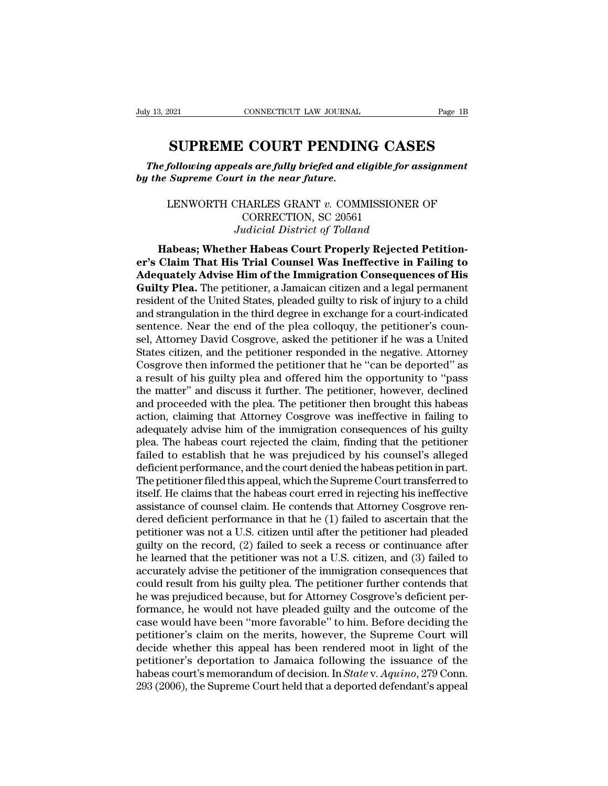FRAME CONNECTICUT LAW JOURNAL Page 1B<br> **SUPREME COURT PENDING CASES**<br>
Following appeals are fully briefed and eligible for assignment<br>
Supreme Court in the near future. *The following appeals are fully briefed and eligible for assignment*<br> *The following appeals are fully briefed and eligible for assignment*<br> *The Supreme Court in the near future. buly 13, 2021* CONNECTICUT LAW JOURNAL<br> **SUPREME COURT PENDIN**<br> *The following appeals are fully briefed and e*<br> *by the Supreme Court in the near future.* 

**SUPREME COURT PENDING CASES**<br>
following appeals are fully briefed and eligible for assignment<br>
Supreme Court in the near future.<br>
LENWORTH CHARLES GRANT *v.* COMMISSIONER OF<br>
CORRECTION, SC 20561<br> *Indigial District of To* **SUPREME COURT PENDING CASES**<br>The following appeals are fully briefed and eligible for assignment<br>by the Supreme Court in the near future.<br>LENWORTH CHARLES GRANT  $v$ . COMMISSIONER OF<br>CORRECTION, SC 20561<br>Judicial District LENWORTH CHARLES GRANT *v*. COMMISSIONER OF<br>CORRECTION, SC 20561<br>*Judicial District of Tolland*<br>**Habeas**; Whether Habeas Court Properly Rejected Petition-*Habeas* **Habeas** *Habeas Habeas Habeas Habeas*; Whether Habeas Court Properly Rejected Petition-<br>
Habeas; Whether Habeas Court Properly Rejected Petition-<br>
Claim That His Trial Counsel Was Ineffective in Failing to

LENWORTH CHARLES GRANT v. COMMISSIONER OF<br>
CORRECTION, SC 20561<br>
Judicial District of Tolland<br> **Habeas; Whether Habeas Court Properly Rejected Petition-**<br> **er's Claim That His Trial Counsel Was Ineffective in Failing to**<br> LENWORTH CHARLES GRANT v. COMMISSIONER OF<br>
CORRECTION, SC 20561<br>
Judicial District of Tolland<br> **Habeas**; Whether Habeas Court Properly Rejected Petition-<br> **Adequately Advise Him of the Immigration Consequences of His**<br> **Gu** EUNWORTH CHARLES GRAINT *U.* COMMISSIONER OF<br>CORRECTION, SC 20561<br>Judicial District of Tolland<br>**Habeas: Whether Habeas Court Properly Rejected Petition-**<br>**er's Claim That His Trial Counsel Was Ineffective in Failing to**<br>**A** First of Tolland<br>*Judicial District of Tolland*<br>**Habeas; Whether Habeas Court Properly Rejected Petition-**<br>er's Claim That His Trial Counsel Was Ineffective in Failing to<br>Adequately Advise Him of the Immigration Consequenc Fraction of Fourth of Fourth<br> **Exercise Petition-**<br> **Adequately Advise Him of the Immigration Consequences of His**<br> **Guilty Plea.** The petitioner, a Jamaican citizen and a legal permanent<br>
resident of the United States, pl er's Claim That His Trial Counsel Was Ineffective in Failing to<br>Adequately Advise Him of the Immigration Consequences of His<br>Guilty Plea. The petitioner, a Jamaican citizen and a legal permanent<br>resident of the United Stat er's Claim That His Trial Counsel Was Ineffective in Failing to<br>Adequately Advise Him of the Immigration Consequences of His<br>Guilty Plea. The petitioner, a Jamaican citizen and a legal permanent<br>resident of the United Stat Adequately Advise Him of the Immigration Consequences of His<br>Guilty Plea. The petitioner, a Jamaican citizen and a legal permanent<br>resident of the United States, pleaded guilty to risk of injury to a child<br>and strangulatio **Guilty Plea.** The petitioner, a Jamaican citizen and a legal permanent resident of the United States, pleaded guilty to risk of injury to a child and strangulation in the third degree in exchange for a court-indicated sen resident of the United States, pleaded guilty to risk of injury to a child<br>and strangulation in the third degree in exchange for a court-indicated<br>sentence. Near the end of the plea colloquy, the petitioner's coun-<br>sel, At and strangulation in the third degree in exchange for a court-indicated<br>sentence. Near the end of the plea colloquy, the petitioner's coun-<br>sel, Attorney David Cosgrove, asked the petitioner if he was a United<br>States citiz sentence. Near the end of the plea colloquy, the petitioner's counsel, Attorney David Cosgrove, asked the petitioner if he was a United States citizen, and the petitioner responded in the negative. Attorney Cosgrove then i sel, Attorney David Cosgrove, asked the petitioner if he was a United<br>States citizen, and the petitioner responded in the negative. Attorney<br>Cosgrove then informed the petitioner that he "can be deported" as<br>a result of hi States citizen, and the petitioner responded in the negative. Attorney Cosgrove then informed the petitioner that he "can be deported" as a result of his guilty plea and offered him the opportunity to "pass the matter" and Cosgrove then informed the petitioner that he "can be deported" as<br>a result of his guilty plea and offered him the opportunity to "pass<br>the matter" and discuss it further. The petitioner, however, declined<br>and proceeded wi a result of his guilty plea and offered him the opportunity to "pass<br>the matter" and discuss it further. The petitioner, however, declined<br>and proceeded with the plea. The petitioner then brought this habeas<br>action, claimi the matter" and discuss it further. The petitioner, however, declined<br>and proceeded with the plea. The petitioner then brought this habeas<br>action, claiming that Attorney Cosgrove was ineffective in failing to<br>adequately ad and proceeded with the plea. The petitioner then brought this habeas<br>action, claiming that Attorney Cosgrove was ineffective in failing to<br>adequately advise him of the immigration consequences of his guilty<br>plea. The habea action, claiming that Attorney Cosgrove was ineffective in failing to<br>adequately advise him of the immigration consequences of his guilty<br>plea. The habeas court rejected the claim, finding that the petitioner<br>failed to est adequately advise him of the immigration consequences of his guilty<br>plea. The habeas court rejected the claim, finding that the petitioner<br>failed to establish that he was prejudiced by his counsel's alleged<br>deficient perfo plea. The habeas court rejected the claim, finding that the petitioner<br>failed to establish that he was prejudiced by his counsel's alleged<br>deficient performance, and the court denied the habeas petition in part.<br>The petiti failed to establish that he was prejudiced by his counsel's alleged<br>deficient performance, and the court denied the habeas petition in part.<br>The petitioner filed this appeal, which the Supreme Court transferred to<br>itself. deficient performance, and the court denied the habeas petition in part.<br>The petitioner filed this appeal, which the Supreme Court transferred to<br>itself. He claims that the habeas court erred in rejecting his ineffective<br>a The petitioner filed this appeal, which the Supreme Court transferred to<br>itself. He claims that the habeas court erred in rejecting his ineffective<br>assistance of counsel claim. He contends that Attorney Cosgrove ren-<br>dered itself. He claims that the habeas court erred in rejecting his ineffective<br>assistance of counsel claim. He contends that Attorney Cosgrove ren-<br>dered deficient performance in that he (1) failed to ascertain that the<br>petiti assistance of counsel claim. He contends that Attorney Cosgrove rendered deficient performance in that he (1) failed to ascertain that the petitioner was not a U.S. citizen until after the petitioner had pleaded guilty on dered deficient performance in that he  $(1)$  failed to ascertain that the petitioner was not a U.S. citizen until after the petitioner had pleaded guilty on the record,  $(2)$  failed to seek a recess or continuance after h petitioner was not a U.S. citizen until after the petitioner had pleaded<br>guilty on the record, (2) failed to seek a recess or continuance after<br>he learned that the petitioner was not a U.S. citizen, and (3) failed to<br>accur guilty on the record, (2) failed to seek a recess or continuance after<br>he learned that the petitioner was not a U.S. citizen, and (3) failed to<br>accurately advise the petitioner of the immigration consequences that<br>could re he learned that the petitioner was not a U.S. citizen, and (3) failed to accurately advise the petitioner of the immigration consequences that could result from his guilty plea. The petitioner further contends that he was accurately advise the petitioner of the immigration consequences that<br>could result from his guilty plea. The petitioner further contends that<br>he was prejudiced because, but for Attorney Cosgrove's deficient per-<br>formance, could result from his guilty plea. The petitioner further contends that<br>he was prejudiced because, but for Attorney Cosgrove's deficient per-<br>formance, he would not have pleaded guilty and the outcome of the<br>case would hav he was prejudiced because, but for Attorney Cosgrove's deficient performance, he would not have pleaded guilty and the outcome of the case would have been "more favorable" to him. Before deciding the petitioner's claim on formance, he would not have pleaded guilty and the outcome of the case would have been "more favorable" to him. Before deciding the petitioner's claim on the merits, however, the Supreme Court will decide whether this appe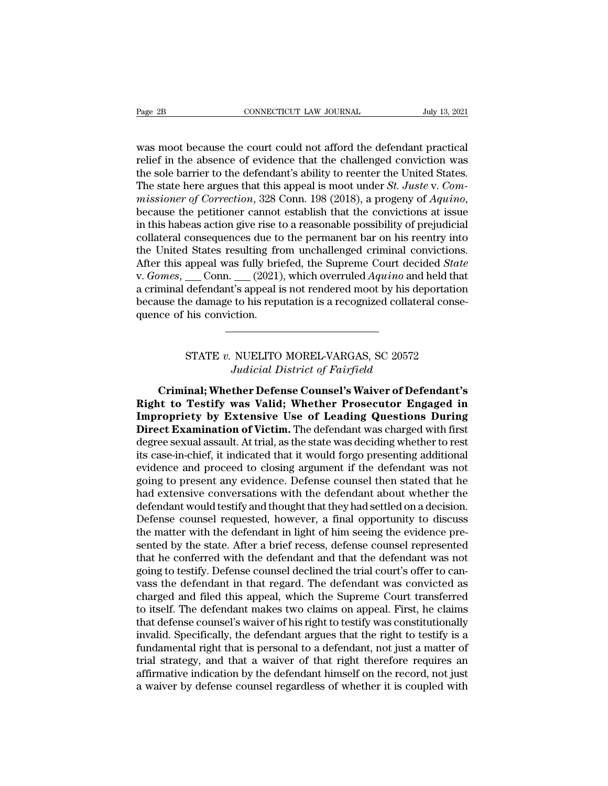Page 2B<br>
CONNECTICUT LAW JOURNAL July 13, 2021<br>
Was moot because the court could not afford the defendant practical<br>
relief in the absence of evidence that the challenged conviction was<br>
the sole barrier to the defendant's Page 2B<br>
connecticut LAW JOURNAL July 13, 2021<br>
was moot because the court could not afford the defendant practical<br>
relief in the absence of evidence that the challenged conviction was<br>
the sole barrier to the defendant's Eage 2B<br>
connectricut LAW JOURNAL July 13, 2021<br>
was moot because the court could not afford the defendant practical<br>
relief in the absence of evidence that the challenged conviction was<br>
the sole barrier to the defendant The state of the state here argues the court could not afford the defendant practical<br>relief in the absence of evidence that the challenged conviction was<br>the sole barrier to the defendant's ability to reenter the United S *m* was moot because the court could not afford the defendant practical relief in the absence of evidence that the challenged conviction was the sole barrier to the defendant's ability to reenter the United States. The sta was moot because the court could not afford the defendant practical<br>relief in the absence of evidence that the challenged conviction was<br>the sole barrier to the defendant's ability to reenter the United States.<br>The state h relief in the absence of evidence that the challenged conviction was<br>the sole barrier to the defendant's ability to reenter the United States.<br>The state here argues that this appeal is moot under *St. Juste* v. *Com-<br>missi* the sole barrier to the defendant's ability to reenter the United States.<br>The state here argues that this appeal is moot under *St. Juste* v. *Commissioner of Correction*, 328 Conn. 198 (2018), a progeny of *Aquino*, beca The state here argues that this appeal is moot under *St. Juste* v. *Commissioner of Correction*, 328 Conn. 198 (2018), a progeny of *Aquino*, because the petitioner cannot establish that the convictions at issue in this h missioner of Correction, 328 Conn. 198 (2018), a progeny of *Aquino*,<br>because the petitioner cannot establish that the convictions at issue<br>in this habeas action give rise to a reasonable possibility of prejudicial<br>collate because the petitioner cannot establish that the convictions at issue<br>in this habeas action give rise to a reasonable possibility of prejudicial<br>collateral consequences due to the permanent bar on his reentry into<br>the Unit in this habeas action give rise to a reasonable possibility of prejudicial collateral consequences due to the permanent bar on his reentry into the United States resulting from unchallenged criminal convictions. After thi collateral consequences due to<br>the United States resulting fro<br>After this appeal was fully briventy v. *Gomes*, \_\_\_Conn. \_\_\_(2021)<br>a criminal defendant's appeal if<br>because the damage to his repu<br>quence of his conviction. Conn. \_\_ (2021), which overruled *Aquino* and held that<br>defendant's appeal is not rendered moot by his deportation<br>le damage to his reputation is a recognized collateral conse-<br>his conviction.<br>STATE v. NUELITO MOREL-VARGAS *Judicial Is* not rendered moot by his depth to his reputation is a recognized collateration.<br>
Judicial District of Fairfield<br> **Judicial District of Fairfield<br>
ther Defense Counsel's Waiver of Defe** 

ce of his conviction.<br>
CRIMINAL TO MOREL-VARGAS, SC 20572<br> *Criminal*; Whether Defense Counsel's Waiver of Defendant's<br>
int to Testify was Valid; Whether Prosecutor Engaged in<br> **Criminal:** Whether Defense Counsel's Waiver **Right of Philosopher STATE v. NUELITO MOREL-VARGAS, SC 20572**<br> *Right to Testify was Valid*; Whether Prosecutor Engaged in<br> **Right to Testify was Valid; Whether Prosecutor Engaged in**<br> **Impropriety by Extensive Use of Lea** STATE v. NUELITO MOREL-VARGAS, SC 20572<br>*Judicial District of Fairfield*<br>**Criminal; Whether Defense Counsel's Waiver of Defendant's<br>Right to Testify was Valid; Whether Prosecutor Engaged in<br>Impropriety by Extensive Use of STATE v. NUELITO MOREL-VARGAS, SC 20572**<br>*Judicial District of Fairfield*<br>**Criminal; Whether Defense Counsel's Waiver of Defendant's<br>Right to Testify was Valid; Whether Prosecutor Engaged in<br><b>Impropriety by Extensive Use** Judicial District of Fairfield<br>Criminal; Whether Defense Counsel's Waiver of Defendant's<br>Right to Testify was Valid; Whether Prosecutor Engaged in<br>Impropriety by Extensive Use of Leading Questions During<br>Direct Examination **Criminal; Whether Defense Counsel's Waiver of Defendant's**<br> **Right to Testify was Valid; Whether Prosecutor Engaged in**<br> **Impropriety by Extensive Use of Leading Questions During**<br> **Direct Examination of Victim.** The defe Criminal; Whether Defense Counsel's Waiver of Defendant's<br>Right to Testify was Valid; Whether Prosecutor Engaged in<br>Impropriety by Extensive Use of Leading Questions During<br>Direct Examination of Victim. The defendant was c Right to Testify was Valid; Whether Prosecutor Engaged in<br>Impropriety by Extensive Use of Leading Questions During<br>Direct Examination of Victim. The defendant was charged with first<br>degree sexual assault. At trial, as the **Impropriety by Extensive Use of Leading Questions During**<br>Direct Examination of Victim. The defendant was charged with first<br>degree sexual assault. At trial, as the state was deciding whether to rest<br>its case-in-chief, it **Direct Examination of Victim.** The defendant was charged with first degree sexual assault. At trial, as the state was deciding whether to rest its case-in-chief, it indicated that it would forgo presenting additional evid degree sexual assault. At trial, as the state was deciding whether to rest<br>its case-in-chief, it indicated that it would forgo presenting additional<br>evidence and proceed to closing argument if the defendant was not<br>going t its case-in-chief, it indicated that it would forgo presenting additional<br>evidence and proceed to closing argument if the defendant was not<br>going to present any evidence. Defense counsel then stated that he<br>had extensive c evidence and proceed to closing argument if the defendant was not<br>going to present any evidence. Defense counsel then stated that he<br>had extensive conversations with the defendant about whether the<br>defendant would testify going to present any evidence. Defense counsel then stated that he<br>had extensive conversations with the defendant about whether the<br>defendant would testify and thought that they had settled on a decision.<br>Defense counsel r had extensive conversations with the defendant about whether the defendant would testify and thought that they had settled on a decision. Defense counsel requested, however, a final opportunity to discuss the matter with t defendant would testify and thought that they had settled on a decision.<br>Defense counsel requested, however, a final opportunity to discuss<br>the matter with the defendant in light of him seeing the evidence pre-<br>sented by t Defense counsel requested, however, a final opportunity to discuss<br>the matter with the defendant in light of him seeing the evidence pre-<br>sented by the state. After a brief recess, defense counsel represented<br>that he confe the matter with the defendant in light of him seeing the evidence presented by the state. After a brief recess, defense counsel represented that he conferred with the defendant and that the defendant was not going to testi sented by the state. After a brief recess, defense counsel represented<br>that he conferred with the defendant and that the defendant was not<br>going to testify. Defense counsel declined the trial court's offer to can-<br>vass the that he conferred with the defendant and that the defendant was not<br>going to testify. Defense counsel declined the trial court's offer to can-<br>vass the defendant in that regard. The defendant was convicted as<br>charged and f going to testify. Defense counsel declined the trial court's offer to can-<br>vass the defendant in that regard. The defendant was convicted as<br>charged and filed this appeal, which the Supreme Court transferred<br>to itself. The vass the defendant in that regard. The defendant was convicted as charged and filed this appeal, which the Supreme Court transferred to itself. The defendant makes two claims on appeal. First, he claims that defense counse charged and filed this appeal, which the Supreme Court transferred<br>to itself. The defendant makes two claims on appeal. First, he claims<br>that defense counsel's waiver of his right to testify was constitutionally<br>invalid. S to itself. The defendant makes two claims on appeal. First, he claims<br>that defense counsel's waiver of his right to testify was constitutionally<br>invalid. Specifically, the defendant argues that the right to testify is a<br>fu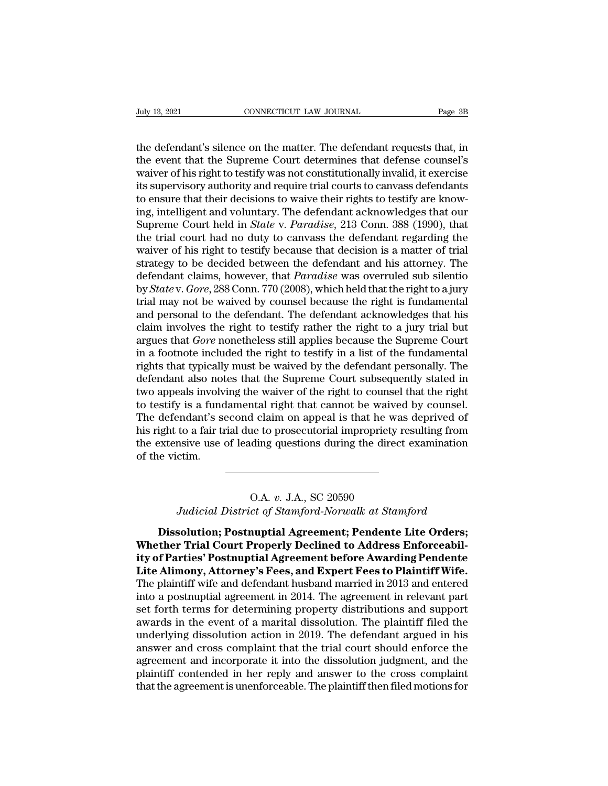Figure 2021<br>the defendant's silence on the matter. The defendant requests that, in<br>the event that the Supreme Court determines that defense counsel's<br>waiver of his right to testify was not constitutionally invalid it exerc The state of the defendant of the defendant of the defendant of the defendant of the defendant of the supreme Court determines that defense counsel's waiver of his right to testify was not constitutionally invalid, it exer July 13, 2021 CONNECTICUT LAW JOURNAL Page 3B<br>the defendant's silence on the matter. The defendant requests that, in<br>the event that the Supreme Court determines that defense counsel's<br>waiver of his right to testify was not July 13, 2021<br>
connectricut LAW JOURNAL<br>
the defendant's silence on the matter. The defendant requests that, in<br>
the event that the Supreme Court determines that defense counsel's<br>
waiver of his right to testify was not co the defendant's silence on the matter. The defendant requests that, in the event that the Supreme Court determines that defense counsel's waiver of his right to testify was not constitutionally invalid, it exercise its sup the defendant's silence on the matter. The defendant requests that, in the event that the Supreme Court determines that defense counsel's waiver of his right to testify was not constitutionally invalid, it exercise its sup the defendant's silence on the matter. The defendant requests that, in<br>the event that the Supreme Court determines that defense counsel's<br>waiver of his right to testify was not constitutionally invalid, it exercise<br>its sup the event that the Supreme Court determines that defense counsel's<br>waiver of his right to testify was not constitutionally invalid, it exercise<br>its supervisory authority and require trial courts to canvass defendants<br>to en waiver of his right to testify was not constitutionally invalid, it exercise<br>its supervisory authority and require trial courts to canvass defendants<br>to ensure that their decisions to waive their rights to testify are know its supervisory authority and require trial courts to canvass defendants<br>to ensure that their decisions to waive their rights to testify are know-<br>ing, intelligent and voluntary. The defendant acknowledges that our<br>Supreme to ensure that their decisions to waive their rights to testify are knowing, intelligent and voluntary. The defendant acknowledges that our Supreme Court held in *State* v. *Paradise*, 213 Conn. 388 (1990), that the trial ing, intelligent and voluntary. The defendant acknowledges that our<br>Supreme Court held in *State* v. *Paradise*, 213 Conn. 388 (1990), that<br>the trial court had no duty to canvass the defendant regarding the<br>waiver of his r Supreme Court held in *State* v. *Paradise*, 213 Conn. 388 (1990), that<br>the trial court had no duty to canvass the defendant regarding the<br>waiver of his right to testify because that decision is a matter of trial<br>strategy the trial court had no duty to canvass the defendant regarding the<br>waiver of his right to testify because that decision is a matter of trial<br>strategy to be decided between the defendant and his attorney. The<br>defendant clai waiver of his right to testify because that decision is a matter of trial<br>strategy to be decided between the defendant and his attorney. The<br>defendant claims, however, that *Paradise* was overruled sub silentio<br>by *State* strategy to be decided between the defendant and his attorney. The defendant claims, however, that *Paradise* was overruled sub silentio by *State* v. *Gore*, 288 Conn. 770 (2008), which held that the right to a jury trial defendant claims, however, that *Paradise* was overruled sub silentio<br>by *State* v. *Gore*, 288 Conn. 770 (2008), which held that the right to a jury<br>trial may not be waived by counsel because the right is fundamental<br>and by *State* v. *Gore*, 288 Conn. 770 (2008), which held that the right to a jury<br>trial may not be waived by counsel because the right is fundamental<br>and personal to the defendant. The defendant acknowledges that his<br>claim i trial may not be waived by counsel because the right is fundamental<br>and personal to the defendant. The defendant acknowledges that his<br>claim involves the right to testify rather the right to a jury trial but<br>argues that *G* and personal to the defendant. The defendant acknowledges that his claim involves the right to testify rather the right to a jury trial but argues that *Gore* nonetheless still applies because the Supreme Court in a footno claim involves the right to testify rather the right to a jury trial but<br>argues that *Gore* nonetheless still applies because the Supreme Court<br>in a footnote included the right to testify in a list of the fundamental<br>right argues that *Gore* nonetheless still applies because the Supreme Court<br>in a footnote included the right to testify in a list of the fundamental<br>rights that typically must be waived by the defendant personally. The<br>defendan in a footnote included the right to testify in a list of the fundamental<br>rights that typically must be waived by the defendant personally. The<br>defendant also notes that the Supreme Court subsequently stated in<br>two appeals rights that typically must be waived by the defendant personally. The defendant also notes that the Supreme Court subsequently stated in two appeals involving the waiver of the right to counsel that the right to testify is defendant also not<br>two appeals involv<br>to testify is a fund<br>The defendant's se<br>his right to a fair ti<br>the extensive use<br>of the victim. d claim on appeal is that he wa<br>he to prosecutorial impropriety r<br>ding questions during the direct<br>**O.A.** *v.* J.A., SC 20590<br>*ct of Stamford-Norwalk at Stan Judicial District of Stamford-Norwalk at Stamford*<br> **Judicial District of Stamford-Norwalk at Stamford**<br> **Judicial District of Stamford-Norwalk at Stamford**<br> **Solution; Postnuptial Agreement; Pendente Lite Orders;** 

**Discolution:**<br>
D.A. v. J.A., SC 20590<br> *Dissolution; Postnuptial Agreement; Pendente Lite Orders;*<br>
ther Trial Court Properly Declined to Address Enforceabil-<br> **Postnuptial Agreement; Pendente Lite Orders;**<br> **Postnuptial** O.A. *v. J.A., SC 20590*<br> *Judicial District of Stamford-Norwalk at Stamford*<br> **Dissolution; Postnuptial Agreement; Pendente Lite Orders;**<br> **Whether Trial Court Properly Declined to Address Enforceabil-<br>
Lite Alimony Attom ideal District of Stamford-Norwalk at Stamford<br>Dissolution; Postnuptial Agreement; Pendente Lite Orders;<br>Whether Trial Court Properly Declined to Address Enforceabil-<br>ity of Parties' Postnuptial Agreement before Awarding** O.A. v. J.A., SC 20590<br>Judicial District of Stamford-Norwalk at Stamford<br>Dissolution; Postnuptial Agreement; Pendente Lite Orders;<br>Whether Trial Court Properly Declined to Address Enforceabil-<br>ity of Parties' Postnuptial A Judicial District of Stamford-Norwalk at Stamford<br>Dissolution; Postnuptial Agreement; Pendente Lite Orders;<br>Whether Trial Court Properly Declined to Address Enforceabil-<br>ity of Parties' Postnuptial Agreement before Awardin Dissolution; Postnuptial Agreement; Pendente Lite Orders;<br>Whether Trial Court Properly Declined to Address Enforceabil-<br>ity of Parties' Postnuptial Agreement before Awarding Pendente<br>Lite Alimony, Attorney's Fees, and Expe Dissolution; Postnuptial Agreement; Pendente Lite Orders;<br>Whether Trial Court Properly Declined to Address Enforceabil-<br>ity of Parties' Postnuptial Agreement before Awarding Pendente<br>Lite Alimony, Attorney's Fees, and Expe Whether Trial Court Properly Declined to Address Enforceabil-<br>ity of Parties' Postnuptial Agreement before Awarding Pendente<br>Lite Alimony, Attorney's Fees, and Expert Fees to Plaintiff Wife.<br>The plaintiff wife and defendan ity of Parties' Postnuptial Agreement before Awarding Pendente<br>Lite Alimony, Attorney's Fees, and Expert Fees to Plaintiff Wife.<br>The plaintiff wife and defendant husband married in 2013 and entered<br>into a postnuptial agree Lite Alimony, Attorney's Fees, and Expert Fees to Plaintiff Wife.<br>The plaintiff wife and defendant husband married in 2013 and entered<br>into a postnuptial agreement in 2014. The agreement in relevant part<br>set forth terms fo The plaintiff wife and defendant husband married in 2013 and entered<br>into a postnuptial agreement in 2014. The agreement in relevant part<br>set forth terms for determining property distributions and support<br>awards in the eve into a postnuptial agreement in 2014. The agreement in relevant part<br>set forth terms for determining property distributions and support<br>awards in the event of a marital dissolution. The plaintiff filed the<br>underlying disso set forth terms for determining property distributions and support awards in the event of a marital dissolution. The plaintiff filed the underlying dissolution action in 2019. The defendant argued in his answer and cross c